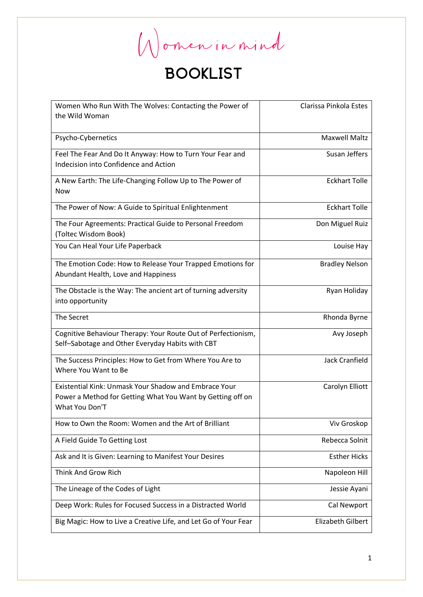Women in mind

| Women Who Run With The Wolves: Contacting the Power of          | Clarissa Pinkola Estes   |
|-----------------------------------------------------------------|--------------------------|
| the Wild Woman                                                  |                          |
|                                                                 |                          |
| Psycho-Cybernetics                                              | <b>Maxwell Maltz</b>     |
| Feel The Fear And Do It Anyway: How to Turn Your Fear and       | Susan Jeffers            |
| Indecision into Confidence and Action                           |                          |
|                                                                 |                          |
| A New Earth: The Life-Changing Follow Up to The Power of        | <b>Eckhart Tolle</b>     |
| Now                                                             |                          |
| The Power of Now: A Guide to Spiritual Enlightenment            | <b>Eckhart Tolle</b>     |
| The Four Agreements: Practical Guide to Personal Freedom        | Don Miguel Ruiz          |
| (Toltec Wisdom Book)                                            |                          |
| You Can Heal Your Life Paperback                                | Louise Hay               |
|                                                                 |                          |
| The Emotion Code: How to Release Your Trapped Emotions for      | <b>Bradley Nelson</b>    |
| Abundant Health, Love and Happiness                             |                          |
| The Obstacle is the Way: The ancient art of turning adversity   | Ryan Holiday             |
| into opportunity                                                |                          |
|                                                                 |                          |
| The Secret                                                      | Rhonda Byrne             |
| Cognitive Behaviour Therapy: Your Route Out of Perfectionism,   | Avy Joseph               |
| Self-Sabotage and Other Everyday Habits with CBT                |                          |
|                                                                 |                          |
| The Success Principles: How to Get from Where You Are to        | <b>Jack Cranfield</b>    |
| Where You Want to Be                                            |                          |
| Existential Kink: Unmask Your Shadow and Embrace Your           | Carolyn Elliott          |
| Power a Method for Getting What You Want by Getting off on      |                          |
| What You Don'T                                                  |                          |
|                                                                 |                          |
| How to Own the Room: Women and the Art of Brilliant             | Viv Groskop              |
| A Field Guide To Getting Lost                                   | Rebecca Solnit           |
| Ask and It is Given: Learning to Manifest Your Desires          | <b>Esther Hicks</b>      |
| Think And Grow Rich                                             | Napoleon Hill            |
| The Lineage of the Codes of Light                               | Jessie Ayani             |
| Deep Work: Rules for Focused Success in a Distracted World      | <b>Cal Newport</b>       |
| Big Magic: How to Live a Creative Life, and Let Go of Your Fear | <b>Elizabeth Gilbert</b> |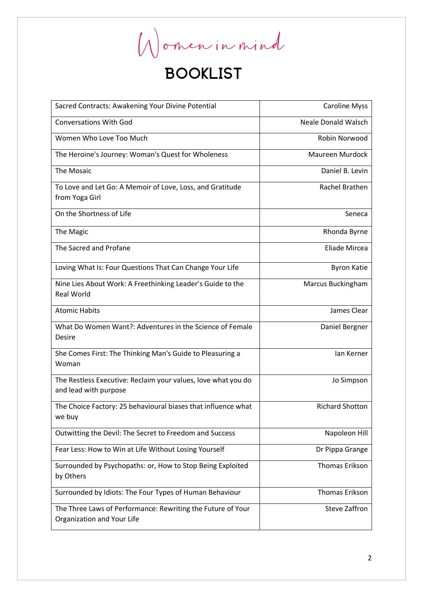Women in mind

| Sacred Contracts: Awakening Your Divine Potential                  | <b>Caroline Myss</b>       |
|--------------------------------------------------------------------|----------------------------|
| <b>Conversations With God</b>                                      | <b>Neale Donald Walsch</b> |
| Women Who Love Too Much                                            | Robin Norwood              |
| The Heroine's Journey: Woman's Quest for Wholeness                 | Maureen Murdock            |
| The Mosaic                                                         | Daniel B. Levin            |
| To Love and Let Go: A Memoir of Love, Loss, and Gratitude          | Rachel Brathen             |
| from Yoga Girl                                                     |                            |
| On the Shortness of Life                                           | Seneca                     |
| The Magic                                                          | Rhonda Byrne               |
| The Sacred and Profane                                             | Eliade Mircea              |
| Loving What Is: Four Questions That Can Change Your Life           | <b>Byron Katie</b>         |
| Nine Lies About Work: A Freethinking Leader's Guide to the         | Marcus Buckingham          |
| <b>Real World</b>                                                  |                            |
| <b>Atomic Habits</b>                                               | James Clear                |
| What Do Women Want?: Adventures in the Science of Female           | Daniel Bergner             |
| Desire                                                             |                            |
| She Comes First: The Thinking Man's Guide to Pleasuring a<br>Woman | lan Kerner                 |
| The Restless Executive: Reclaim your values, love what you do      | Jo Simpson                 |
| and lead with purpose                                              |                            |
| The Choice Factory: 25 behavioural biases that influence what      | <b>Richard Shotton</b>     |
| we buy                                                             |                            |
| Outwitting the Devil: The Secret to Freedom and Success            | Napoleon Hill              |
| Fear Less: How to Win at Life Without Losing Yourself              | Dr Pippa Grange            |
| Surrounded by Psychopaths: or, How to Stop Being Exploited         | <b>Thomas Erikson</b>      |
| by Others                                                          |                            |
| Surrounded by Idiots: The Four Types of Human Behaviour            | <b>Thomas Erikson</b>      |
| The Three Laws of Performance: Rewriting the Future of Your        | <b>Steve Zaffron</b>       |
| Organization and Your Life                                         |                            |